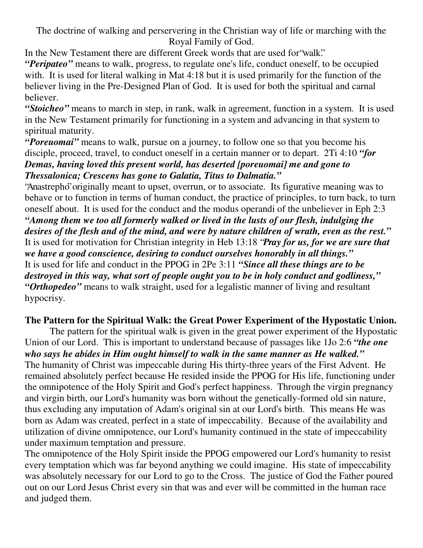The doctrine of walking and perservering in the Christian way of life or marching with the Royal Family of God.

In the New Testament there are different Greek words that are used for"walk." *"Peripateo"* means to walk, progress, to regulate one's life, conduct oneself, to be occupied with. It is used for literal walking in Mat 4:18 but it is used primarily for the function of the believer living in the Pre-Designed Plan of God. It is used for both the spiritual and carnal believer.

*"Stoicheo"* means to march in step, in rank, walk in agreement, function in a system. It is used in the New Testament primarily for functioning in a system and advancing in that system to spiritual maturity.

*"Poreuomai"* means to walk, pursue on a journey, to follow one so that you become his disciple, proceed, travel, to conduct oneself in a certain manner or to depart. 2Ti 4:10 *"for Demas, having loved this present world, has deserted [poreuomai] me and gone to Thessalonica; Crescens has gone to Galatia, Titus to Dalmatia."*

"Anastrepho"originally meant to upset, overrun, or to associate. Its figurative meaning was to behave or to function in terms of human conduct, the practice of principles, to turn back, to turn oneself about. It is used for the conduct and the modus operandi of the unbeliever in Eph 2:3 *"Among them we too all formerly walked or lived in the lusts of our flesh, indulging the* desires of the flesh and of the mind, and were by nature children of wrath, even as the rest." It is used for motivation for Christian integrity in Heb 13:18 "*Pray for us, for we are sure that we have a good conscience, desiring to conduct ourselves honorably in all things."* It is used for life and conduct in the PPOG in 2Pe 3:11 *"Since all these things are to be destroyed in this way, what sort of people ought you to be in holy conduct and godliness," "Orthopedeo"* means to walk straight, used for a legalistic manner of living and resultant hypocrisy.

## **The Pattern for the Spiritual Walk: the Great Power Experiment of the Hypostatic Union.**

The pattern for the spiritual walk is given in the great power experiment of the Hypostatic Union of our Lord. This is important to understand because of passages like 1Jo 2:6 *"the one who says he abides in Him ought himself to walk in the same manner as He walked."* The humanity of Christ was impeccable during His thirty-three years of the First Advent. He remained absolutely perfect because He resided inside the PPOG for His life, functioning under the omnipotence of the Holy Spirit and God's perfect happiness. Through the virgin pregnancy and virgin birth, our Lord's humanity was born without the genetically-formed old sin nature, thus excluding any imputation of Adam's original sin at our Lord's birth. This means He was born as Adam was created, perfect in a state of impeccability. Because of the availability and utilization of divine omnipotence, our Lord's humanity continued in the state of impeccability under maximum temptation and pressure.

The omnipotence of the Holy Spirit inside the PPOG empowered our Lord's humanity to resist every temptation which was far beyond anything we could imagine. His state of impeccability was absolutely necessary for our Lord to go to the Cross. The justice of God the Father poured out on our Lord Jesus Christ every sin that was and ever will be committed in the human race and judged them.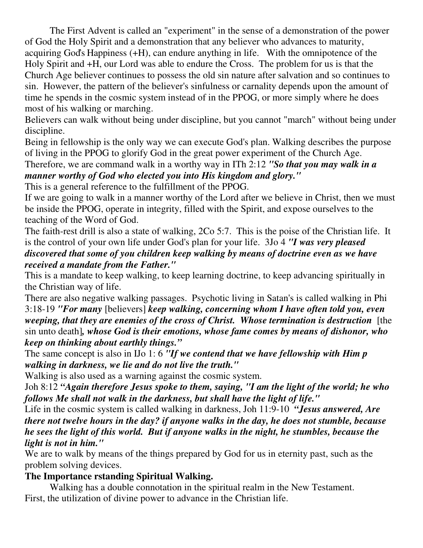The First Advent is called an "experiment" in the sense of a demonstration of the power of God the Holy Spirit and a demonstration that any believer who advances to maturity, acquiring God's Happiness (+H), can endure anything in life. With the omnipotence of the Holy Spirit and +H, our Lord was able to endure the Cross. The problem for us is that the Church Age believer continues to possess the old sin nature after salvation and so continues to sin. However, the pattern of the believer's sinfulness or carnality depends upon the amount of time he spends in the cosmic system instead of in the PPOG, or more simply where he does most of his walking or marching.

Believers can walk without being under discipline, but you cannot "march" without being under discipline.

Being in fellowship is the only way we can execute God's plan. Walking describes the purpose of living in the PPOG to glorify God in the great power experiment of the Church Age.

Therefore, we are command walk in a worthy way in ITh 2:12 *"So that you may walk in a manner worthy of God who elected you into His kingdom and glory."*

This is a general reference to the fulfillment of the PPOG.

If we are going to walk in a manner worthy of the Lord after we believe in Christ, then we must be inside the PPOG, operate in integrity, filled with the Spirit, and expose ourselves to the teaching of the Word of God.

The faith-rest drill is also a state of walking, 2Co 5:7. This is the poise of the Christian life. It is the control of your own life under God's plan for your life. 3Jo 4 *"I was very pleased discovered that some of you children keep walking by means of doctrine even as we have received a mandate from the Father."*

This is a mandate to keep walking, to keep learning doctrine, to keep advancing spiritually in the Christian way of life.

There are also negative walking passages. Psychotic living in Satan's is called walking in Phi 3:18-19 *"For many* [believers] *keep walking, concerning whom I have often told you, even weeping, that they are enemies of the cross of Christ. Whose termination is destruction* [the sin unto death]*, whose God is their emotions, whose fame comes by means of dishonor, who keep on thinking about earthly things."*

The same concept is also in IJo 1: 6 *"If we contend that we have fellowship with Him p walking in darkness, we lie and do not live the truth."*

Walking is also used as a warning against the cosmic system.

Joh 8:12 *"Again therefore Jesus spoke to them, saying, "I am the light of the world; he who follows Me shall not walk in the darkness, but shall have the light of life."*

Life in the cosmic system is called walking in darkness, Joh 11:9-10 *"Jesus answered, Are there not twelve hours in the day? if anyone walks in the day, he does not stumble, because he sees the light of this world. But if anyone walks in the night, he stumbles, because the light is not in him."*

We are to walk by means of the things prepared by God for us in eternity past, such as the problem solving devices.

## **The Importance rstanding Spiritual Walking.**

Walking has a double connotation in the spiritual realm in the New Testament. First, the utilization of divine power to advance in the Christian life.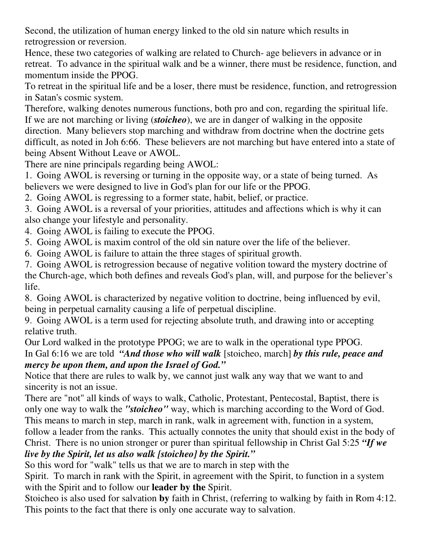Second, the utilization of human energy linked to the old sin nature which results in retrogression or reversion.

Hence, these two categories of walking are related to Church- age believers in advance or in retreat. To advance in the spiritual walk and be a winner, there must be residence, function, and momentum inside the PPOG.

To retreat in the spiritual life and be a loser, there must be residence, function, and retrogression in Satan's cosmic system.

Therefore, walking denotes numerous functions, both pro and con, regarding the spiritual life. If we are not marching or living (*stoicheo*), we are in danger of walking in the opposite direction. Many believers stop marching and withdraw from doctrine when the doctrine gets difficult, as noted in Joh 6:66. These believers are not marching but have entered into a state of being Absent Without Leave or AWOL.

There are nine principals regarding being AWOL:

1. Going AWOL is reversing or turning in the opposite way, or a state of being turned. As believers we were designed to live in God's plan for our life or the PPOG.

2. Going AWOL is regressing to a former state, habit, belief, or practice.

3. Going AWOL is a reversal of your priorities, attitudes and affections which is why it can also change your lifestyle and personality.

4. Going AWOL is failing to execute the PPOG.

5. Going AWOL is maxim control of the old sin nature over the life of the believer.

6. Going AWOL is failure to attain the three stages of spiritual growth.

7. Going AWOL is retrogression because of negative volition toward the mystery doctrine of the Church-age, which both defines and reveals God's plan, will, and purpose for the believer's life.

8. Going AWOL is characterized by negative volition to doctrine, being influenced by evil, being in perpetual carnality causing a life of perpetual discipline.

9. Going AWOL is a term used for rejecting absolute truth, and drawing into or accepting relative truth.

Our Lord walked in the prototype PPOG; we are to walk in the operational type PPOG. In Gal 6:16 we are told *"And those who will walk* [stoicheo, march] *by this rule, peace and*

*mercy be upon them, and upon the Israel of God."*

Notice that there are rules to walk by, we cannot just walk any way that we want to and sincerity is not an issue.

There are "not" all kinds of ways to walk, Catholic, Protestant, Pentecostal, Baptist, there is only one way to walk the *"stoicheo"* way, which is marching according to the Word of God. This means to march in step, march in rank, walk in agreement with, function in a system, follow a leader from the ranks. This actually connotes the unity that should exist in the body of Christ. There is no union stronger or purer than spiritual fellowship in Christ Gal 5:25 *"If we live by the Spirit, let us also walk [stoicheo] by the Spirit."*

So this word for "walk" tells us that we are to march in step with the

Spirit. To march in rank with the Spirit, in agreement with the Spirit, to function in a system with the Spirit and to follow our **leader by the** Spirit.

Stoicheo is also used for salvation **by** faith in Christ, (referring to walking by faith in Rom 4:12. This points to the fact that there is only one accurate way to salvation.